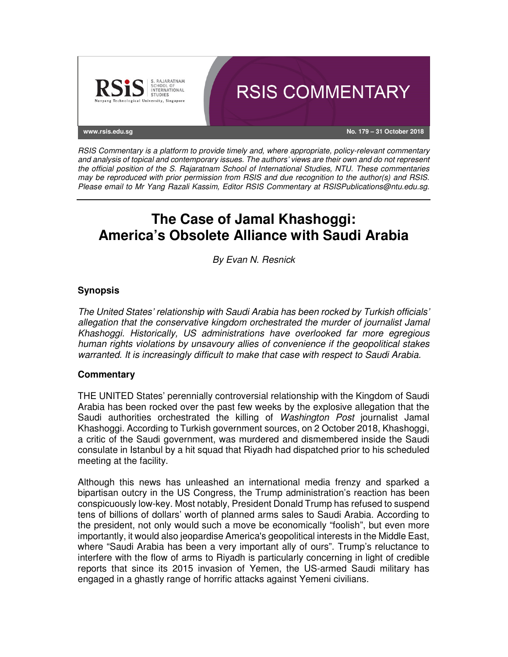

*RSIS Commentary is a platform to provide timely and, where appropriate, policy-relevant commentary and analysis of topical and contemporary issues. The authors' views are their own and do not represent the official position of the S. Rajaratnam School of International Studies, NTU. These commentaries may be reproduced with prior permission from RSIS and due recognition to the author(s) and RSIS. Please email to Mr Yang Razali Kassim, Editor RSIS Commentary at RSISPublications@ntu.edu.sg.* 

# **The Case of Jamal Khashoggi: America's Obsolete Alliance with Saudi Arabia**

*By Evan N. Resnick*

## **Synopsis**

*The United States' relationship with Saudi Arabia has been rocked by Turkish officials' allegation that the conservative kingdom orchestrated the murder of journalist Jamal Khashoggi. Historically, US administrations have overlooked far more egregious human rights violations by unsavoury allies of convenience if the geopolitical stakes warranted. It is increasingly difficult to make that case with respect to Saudi Arabia.* 

### **Commentary**

THE UNITED States' perennially controversial relationship with the Kingdom of Saudi Arabia has been rocked over the past few weeks by the explosive allegation that the Saudi authorities orchestrated the killing of *Washington Post* journalist Jamal Khashoggi. According to Turkish government sources, on 2 October 2018, Khashoggi, a critic of the Saudi government, was murdered and dismembered inside the Saudi consulate in Istanbul by a hit squad that Riyadh had dispatched prior to his scheduled meeting at the facility.

Although this news has unleashed an international media frenzy and sparked a bipartisan outcry in the US Congress, the Trump administration's reaction has been conspicuously low-key. Most notably, President Donald Trump has refused to suspend tens of billions of dollars' worth of planned arms sales to Saudi Arabia. According to the president, not only would such a move be economically "foolish", but even more importantly, it would also jeopardise America's geopolitical interests in the Middle East, where "Saudi Arabia has been a very important ally of ours". Trump's reluctance to interfere with the flow of arms to Riyadh is particularly concerning in light of credible reports that since its 2015 invasion of Yemen, the US-armed Saudi military has engaged in a ghastly range of horrific attacks against Yemeni civilians.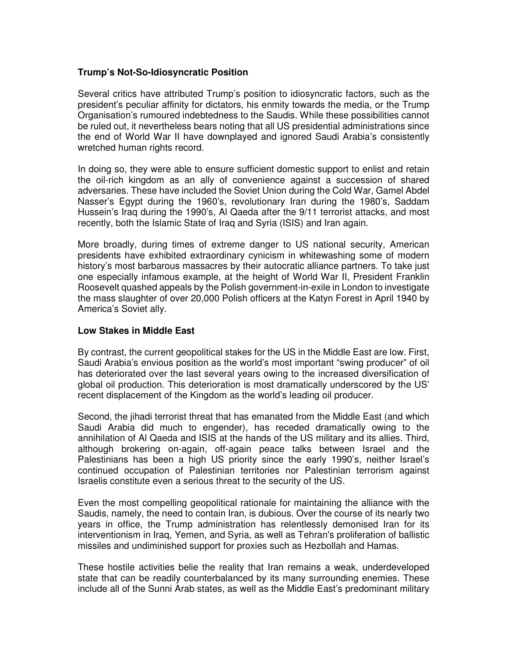#### **Trump's Not-So-Idiosyncratic Position**

Several critics have attributed Trump's position to idiosyncratic factors, such as the president's peculiar affinity for dictators, his enmity towards the media, or the Trump Organisation's rumoured indebtedness to the Saudis. While these possibilities cannot be ruled out, it nevertheless bears noting that all US presidential administrations since the end of World War II have downplayed and ignored Saudi Arabia's consistently wretched human rights record.

In doing so, they were able to ensure sufficient domestic support to enlist and retain the oil-rich kingdom as an ally of convenience against a succession of shared adversaries. These have included the Soviet Union during the Cold War, Gamel Abdel Nasser's Egypt during the 1960's, revolutionary Iran during the 1980's, Saddam Hussein's Iraq during the 1990's, Al Qaeda after the 9/11 terrorist attacks, and most recently, both the Islamic State of Iraq and Syria (ISIS) and Iran again.

More broadly, during times of extreme danger to US national security, American presidents have exhibited extraordinary cynicism in whitewashing some of modern history's most barbarous massacres by their autocratic alliance partners. To take just one especially infamous example, at the height of World War II, President Franklin Roosevelt quashed appeals by the Polish government-in-exile in London to investigate the mass slaughter of over 20,000 Polish officers at the Katyn Forest in April 1940 by America's Soviet ally.

#### **Low Stakes in Middle East**

By contrast, the current geopolitical stakes for the US in the Middle East are low. First, Saudi Arabia's envious position as the world's most important "swing producer" of oil has deteriorated over the last several years owing to the increased diversification of global oil production. This deterioration is most dramatically underscored by the US' recent displacement of the Kingdom as the world's leading oil producer.

Second, the jihadi terrorist threat that has emanated from the Middle East (and which Saudi Arabia did much to engender), has receded dramatically owing to the annihilation of Al Qaeda and ISIS at the hands of the US military and its allies. Third, although brokering on-again, off-again peace talks between Israel and the Palestinians has been a high US priority since the early 1990's, neither Israel's continued occupation of Palestinian territories nor Palestinian terrorism against Israelis constitute even a serious threat to the security of the US.

Even the most compelling geopolitical rationale for maintaining the alliance with the Saudis, namely, the need to contain Iran, is dubious. Over the course of its nearly two years in office, the Trump administration has relentlessly demonised Iran for its interventionism in Iraq, Yemen, and Syria, as well as Tehran's proliferation of ballistic missiles and undiminished support for proxies such as Hezbollah and Hamas.

These hostile activities belie the reality that Iran remains a weak, underdeveloped state that can be readily counterbalanced by its many surrounding enemies. These include all of the Sunni Arab states, as well as the Middle East's predominant military